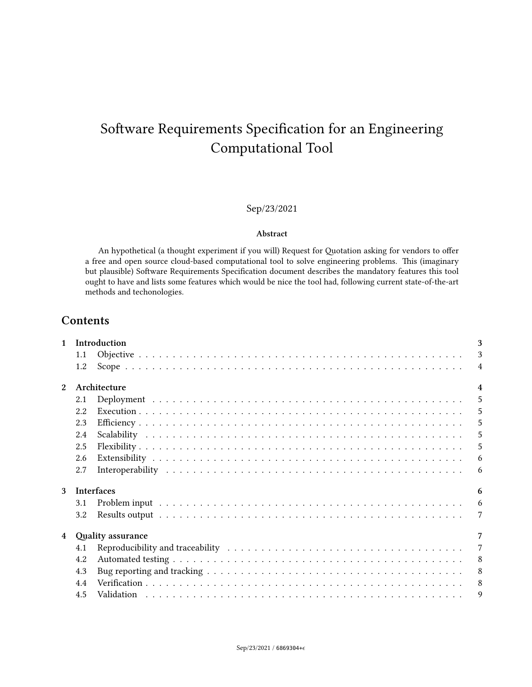# Sep/23/2021

#### **Abstract**

An hypothetical (a thought experiment if you will) Request for Quotation asking for vendors to offer a free and open source cloud-based computational tool to solve engineering problems. This (imaginary but plausible) Software Requirements Specification document describes the mandatory features this tool ought to have and lists some features which would be nice the tool had, following current state-of-the-art methods and techonologies.

# **Contents**

|     |                          | 3                                                                             |
|-----|--------------------------|-------------------------------------------------------------------------------|
| 1.1 |                          | 3                                                                             |
| 1.2 |                          | $\overline{4}$                                                                |
|     |                          | $\overline{4}$                                                                |
| 2.1 | $\overline{\phantom{0}}$ |                                                                               |
| 2.2 |                          | 5                                                                             |
| 2.3 |                          | 5                                                                             |
| 2.4 |                          | 5                                                                             |
| 2.5 |                          | 5                                                                             |
| 2.6 |                          | 6                                                                             |
| 2.7 |                          | 6                                                                             |
|     |                          | 6                                                                             |
| 3.1 |                          | 6                                                                             |
| 3.2 |                          | 7                                                                             |
|     |                          | 7                                                                             |
| 4.1 |                          | $\overline{7}$                                                                |
| 4.2 |                          | 8                                                                             |
|     |                          | 8                                                                             |
|     |                          |                                                                               |
| 4.4 |                          | 8                                                                             |
|     | 4.3                      | Introduction<br>Architecture<br><b>Interfaces</b><br><b>Quality assurance</b> |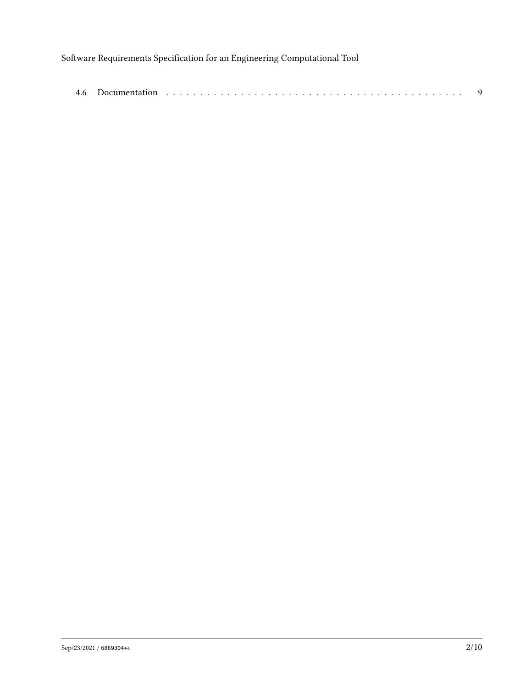| 4.6 | Documentation<br>___ |  |  |  |  |  |  |  |  |  |  |  |  |  |  |  |  |  |  |  |  |  |  |  |  |  |  |  |  |  |
|-----|----------------------|--|--|--|--|--|--|--|--|--|--|--|--|--|--|--|--|--|--|--|--|--|--|--|--|--|--|--|--|--|
|-----|----------------------|--|--|--|--|--|--|--|--|--|--|--|--|--|--|--|--|--|--|--|--|--|--|--|--|--|--|--|--|--|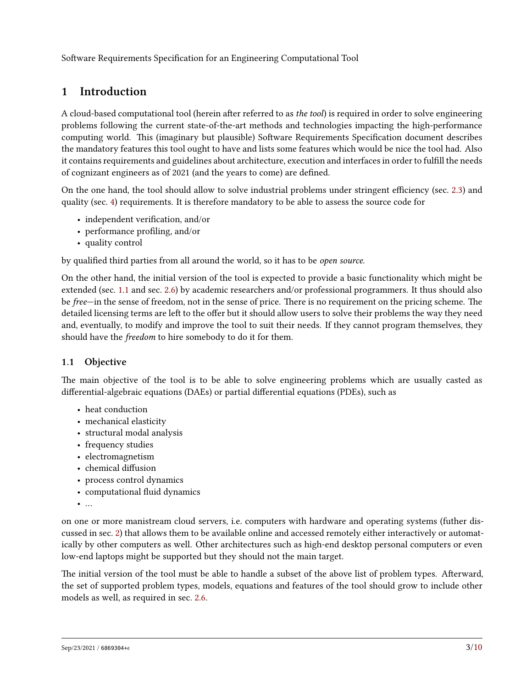# <span id="page-2-0"></span>**1 Introduction**

A cloud-based computational tool (herein after referred to as *the tool*) is required in order to solve engineering problems following the current state-of-the-art methods and technologies impacting the high-performance computing world. This (imaginary but plausible) Software Requirements Specification document describes the mandatory features this tool ought to have and lists some features which would be nice the tool had. Also it contains requirements and guidelines about architecture, execution and interfaces in order to fulfill the needs of cognizant engineers as of 2021 (and the years to come) are defined.

On the one hand, the tool should allow to solve industrial problems under stringent efficiency (sec. [2.3](#page-4-2)) and quality (sec. [4\)](#page-6-1) requirements. It is therefore mandatory to be able to assess the source code for

- independent verification, and/or
- performance profiling, and/or
- quality control

by qualified third parties from all around the world, so it has to be *open source*.

On the other hand, the initial version of the tool is expected to provide a basic functionality which might be extended (sec. [1.1](#page-2-1) and sec. [2.6\)](#page-5-0) by academic researchers and/or professional programmers. It thus should also be *free*—in the sense of freedom, not in the sense of price. There is no requirement on the pricing scheme. The detailed licensing terms are left to the offer but it should allow users to solve their problems the way they need and, eventually, to modify and improve the tool to suit their needs. If they cannot program themselves, they should have the *freedom* to hire somebody to do it for them.

# <span id="page-2-1"></span>**1.1 Objective**

The main objective of the tool is to be able to solve engineering problems which are usually casted as differential-algebraic equations (DAEs) or partial differential equations (PDEs), such as

- heat conduction
- mechanical elasticity
- structural modal analysis
- frequency studies
- electromagnetism
- chemical diffusion
- process control dynamics
- computational fluid dynamics
- …

on one or more manistream cloud servers, i.e. computers with hardware and operating systems (futher discussed in sec. [2\)](#page-3-1) that allows them to be available online and accessed remotely either interactively or automatically by other computers as well. Other architectures such as high-end desktop personal computers or even low-end laptops might be supported but they should not the main target.

The initial version of the tool must be able to handle a subset of the above list of problem types. Afterward, the set of supported problem types, models, equations and features of the tool should grow to include other models as well, as required in sec. [2.6.](#page-5-0)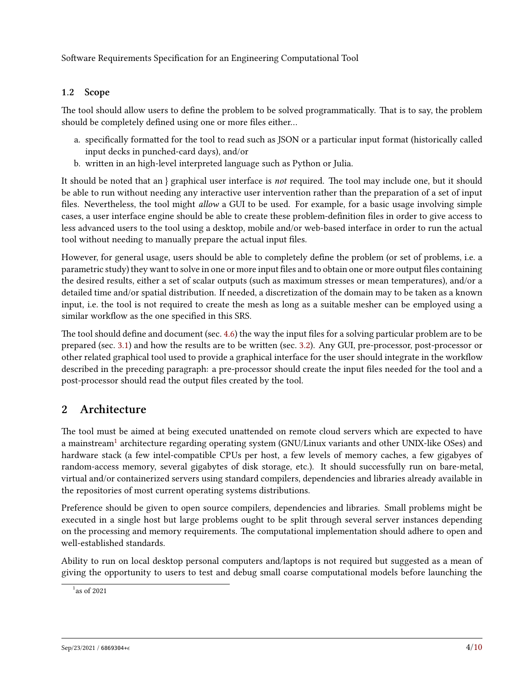# <span id="page-3-0"></span>**1.2 Scope**

The tool should allow users to define the problem to be solved programmatically. That is to say, the problem should be completely defined using one or more files either…

- a. specifically formatted for the tool to read such as JSON or a particular input format (historically called input decks in punched-card days), and/or
- b. written in an high-level interpreted language such as Python or Julia.

It should be noted that an } graphical user interface is *not* required. The tool may include one, but it should be able to run without needing any interactive user intervention rather than the preparation of a set of input files. Nevertheless, the tool might *allow* a GUI to be used. For example, for a basic usage involving simple cases, a user interface engine should be able to create these problem-definition files in order to give access to less advanced users to the tool using a desktop, mobile and/or web-based interface in order to run the actual tool without needing to manually prepare the actual input files.

However, for general usage, users should be able to completely define the problem (or set of problems, i.e. a parametric study) they want to solve in one or more input files and to obtain one or more output files containing the desired results, either a set of scalar outputs (such as maximum stresses or mean temperatures), and/or a detailed time and/or spatial distribution. If needed, a discretization of the domain may to be taken as a known input, i.e. the tool is not required to create the mesh as long as a suitable mesher can be employed using a similar workflow as the one specified in this SRS.

The tool should define and document (sec. [4.6](#page-8-1)) the way the input files for a solving particular problem are to be prepared (sec. [3.1](#page-5-3)) and how the results are to be written (sec. [3.2](#page-6-0)). Any GUI, pre-processor, post-processor or other related graphical tool used to provide a graphical interface for the user should integrate in the workflow described in the preceding paragraph: a pre-processor should create the input files needed for the tool and a post-processor should read the output files created by the tool.

# <span id="page-3-1"></span>**2 Architecture**

The tool must be aimed at being executed unattended on remote cloud servers which are expected to have a mainstream<sup>[1](#page-3-2)</sup> architecture regarding operating system (GNU/Linux variants and other UNIX-like OSes) and hardware stack (a few intel-compatible CPUs per host, a few levels of memory caches, a few gigabyes of random-access memory, several gigabytes of disk storage, etc.). It should successfully run on bare-metal, virtual and/or containerized servers using standard compilers, dependencies and libraries already available in the repositories of most current operating systems distributions.

Preference should be given to open source compilers, dependencies and libraries. Small problems might be executed in a single host but large problems ought to be split through several server instances depending on the processing and memory requirements. The computational implementation should adhere to open and well-established standards.

Ability to run on local desktop personal computers and/laptops is not required but suggested as a mean of giving the opportunity to users to test and debug small coarse computational models before launching the

<span id="page-3-2"></span> $1$ as of 2021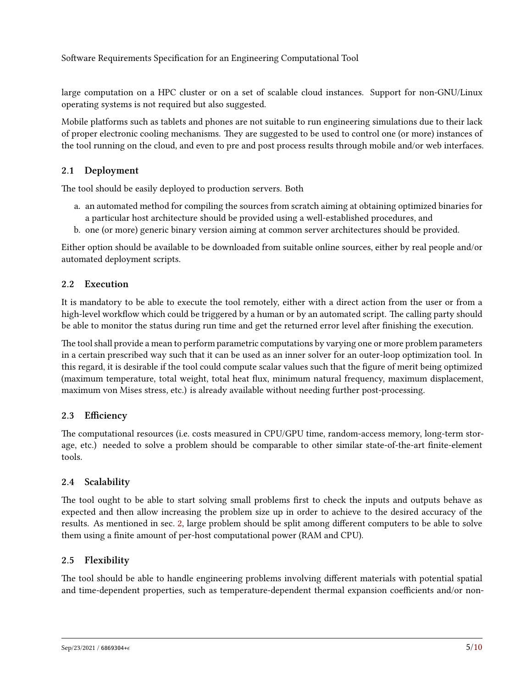large computation on a HPC cluster or on a set of scalable cloud instances. Support for non-GNU/Linux operating systems is not required but also suggested.

Mobile platforms such as tablets and phones are not suitable to run engineering simulations due to their lack of proper electronic cooling mechanisms. They are suggested to be used to control one (or more) instances of the tool running on the cloud, and even to pre and post process results through mobile and/or web interfaces.

### <span id="page-4-0"></span>**2.1 Deployment**

The tool should be easily deployed to production servers. Both

- a. an automated method for compiling the sources from scratch aiming at obtaining optimized binaries for a particular host architecture should be provided using a well-established procedures, and
- b. one (or more) generic binary version aiming at common server architectures should be provided.

Either option should be available to be downloaded from suitable online sources, either by real people and/or automated deployment scripts.

### <span id="page-4-1"></span>**2.2 Execution**

It is mandatory to be able to execute the tool remotely, either with a direct action from the user or from a high-level workflow which could be triggered by a human or by an automated script. The calling party should be able to monitor the status during run time and get the returned error level after finishing the execution.

The tool shall provide a mean to perform parametric computations by varying one or more problem parameters in a certain prescribed way such that it can be used as an inner solver for an outer-loop optimization tool. In this regard, it is desirable if the tool could compute scalar values such that the figure of merit being optimized (maximum temperature, total weight, total heat flux, minimum natural frequency, maximum displacement, maximum von Mises stress, etc.) is already available without needing further post-processing.

# <span id="page-4-2"></span>**2.3 Efficiency**

The computational resources (i.e. costs measured in CPU/GPU time, random-access memory, long-term storage, etc.) needed to solve a problem should be comparable to other similar state-of-the-art finite-element tools.

# <span id="page-4-3"></span>**2.4 Scalability**

The tool ought to be able to start solving small problems first to check the inputs and outputs behave as expected and then allow increasing the problem size up in order to achieve to the desired accuracy of the results. As mentioned in sec. [2,](#page-3-1) large problem should be split among different computers to be able to solve them using a finite amount of per-host computational power (RAM and CPU).

### <span id="page-4-4"></span>**2.5 Flexibility**

The tool should be able to handle engineering problems involving different materials with potential spatial and time-dependent properties, such as temperature-dependent thermal expansion coefficients and/or non-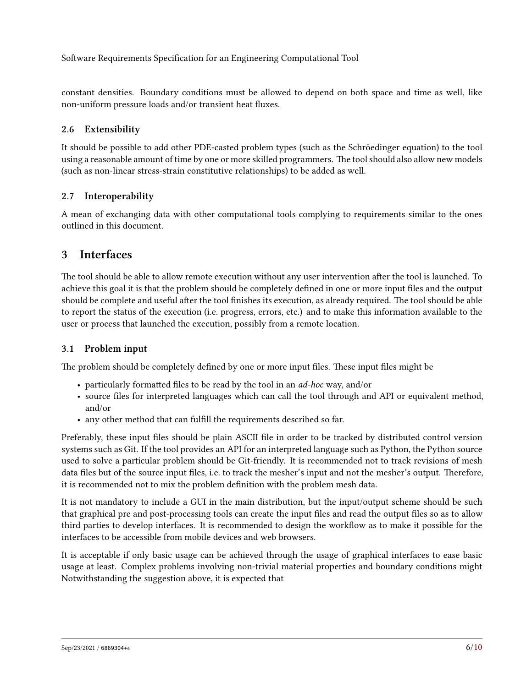constant densities. Boundary conditions must be allowed to depend on both space and time as well, like non-uniform pressure loads and/or transient heat fluxes.

### <span id="page-5-0"></span>**2.6 Extensibility**

It should be possible to add other PDE-casted problem types (such as the Schröedinger equation) to the tool using a reasonable amount of time by one or more skilled programmers. The tool should also allow new models (such as non-linear stress-strain constitutive relationships) to be added as well.

### <span id="page-5-1"></span>**2.7 Interoperability**

A mean of exchanging data with other computational tools complying to requirements similar to the ones outlined in this document.

# <span id="page-5-2"></span>**3 Interfaces**

The tool should be able to allow remote execution without any user intervention after the tool is launched. To achieve this goal it is that the problem should be completely defined in one or more input files and the output should be complete and useful after the tool finishes its execution, as already required. The tool should be able to report the status of the execution (i.e. progress, errors, etc.) and to make this information available to the user or process that launched the execution, possibly from a remote location.

### <span id="page-5-3"></span>**3.1 Problem input**

The problem should be completely defined by one or more input files. These input files might be

- particularly formatted files to be read by the tool in an *ad-hoc* way, and/or
- source files for interpreted languages which can call the tool through and API or equivalent method, and/or
- any other method that can fulfill the requirements described so far.

Preferably, these input files should be plain ASCII file in order to be tracked by distributed control version systems such as Git. If the tool provides an API for an interpreted language such as Python, the Python source used to solve a particular problem should be Git-friendly. It is recommended not to track revisions of mesh data files but of the source input files, i.e. to track the mesher's input and not the mesher's output. Therefore, it is recommended not to mix the problem definition with the problem mesh data.

It is not mandatory to include a GUI in the main distribution, but the input/output scheme should be such that graphical pre and post-processing tools can create the input files and read the output files so as to allow third parties to develop interfaces. It is recommended to design the workflow as to make it possible for the interfaces to be accessible from mobile devices and web browsers.

It is acceptable if only basic usage can be achieved through the usage of graphical interfaces to ease basic usage at least. Complex problems involving non-trivial material properties and boundary conditions might Notwithstanding the suggestion above, it is expected that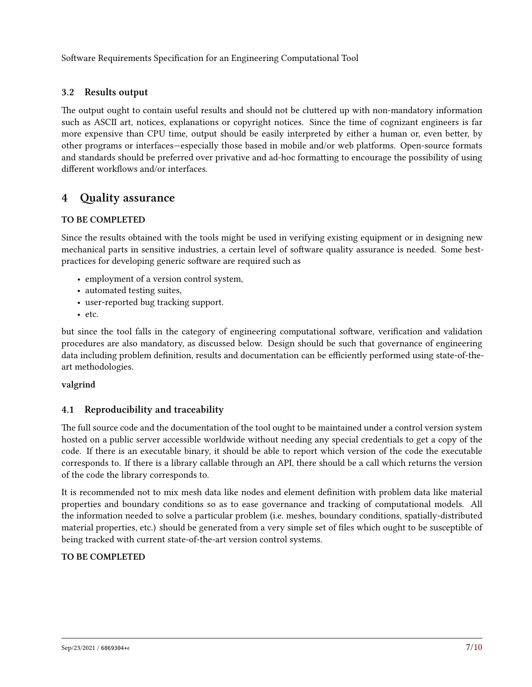# <span id="page-6-0"></span>**3.2 Results output**

The output ought to contain useful results and should not be cluttered up with non-mandatory information such as ASCII art, notices, explanations or copyright notices. Since the time of cognizant engineers is far more expensive than CPU time, output should be easily interpreted by either a human or, even better, by other programs or interfaces—especially those based in mobile and/or web platforms. Open-source formats and standards should be preferred over privative and ad-hoc formatting to encourage the possibility of using different workflows and/or interfaces.

# <span id="page-6-1"></span>**4 Quality assurance**

### **TO BE COMPLETED**

Since the results obtained with the tools might be used in verifying existing equipment or in designing new mechanical parts in sensitive industries, a certain level of software quality assurance is needed. Some bestpractices for developing generic software are required such as

- employment of a version control system,
- automated testing suites,
- user-reported bug tracking support.
- etc.

but since the tool falls in the category of engineering computational software, verification and validation procedures are also mandatory, as discussed below. Design should be such that governance of engineering data including problem definition, results and documentation can be efficiently performed using state-of-theart methodologies.

### **valgrind**

# <span id="page-6-2"></span>**4.1 Reproducibility and traceability**

The full source code and the documentation of the tool ought to be maintained under a control version system hosted on a public server accessible worldwide without needing any special credentials to get a copy of the code. If there is an executable binary, it should be able to report which version of the code the executable corresponds to. If there is a library callable through an API, there should be a call which returns the version of the code the library corresponds to.

It is recommended not to mix mesh data like nodes and element definition with problem data like material properties and boundary conditions so as to ease governance and tracking of computational models. All the information needed to solve a particular problem (i.e. meshes, boundary conditions, spatially-distributed material properties, etc.) should be generated from a very simple set of files which ought to be susceptible of being tracked with current state-of-the-art version control systems.

### **TO BE COMPLETED**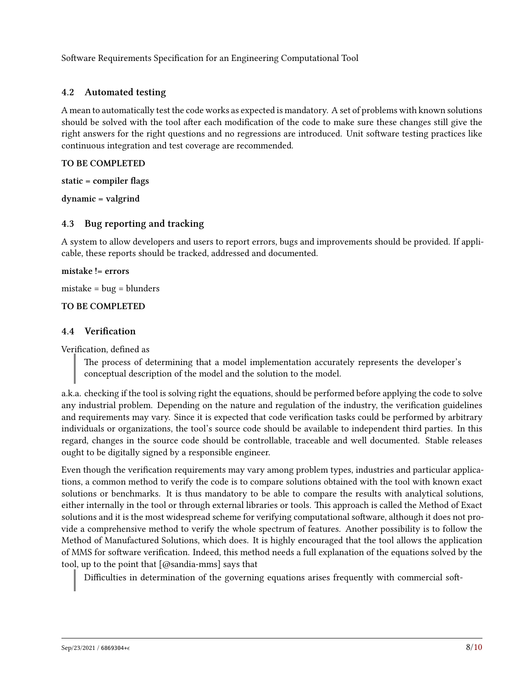### <span id="page-7-0"></span>**4.2 Automated testing**

A mean to automatically test the code works as expected is mandatory. A set of problems with known solutions should be solved with the tool after each modification of the code to make sure these changes still give the right answers for the right questions and no regressions are introduced. Unit software testing practices like continuous integration and test coverage are recommended.

### **TO BE COMPLETED**

**static = compiler flags**

**dynamic = valgrind**

### <span id="page-7-1"></span>**4.3 Bug reporting and tracking**

A system to allow developers and users to report errors, bugs and improvements should be provided. If applicable, these reports should be tracked, addressed and documented.

#### **mistake != errors**

mistake = bug = blunders

### **TO BE COMPLETED**

### <span id="page-7-2"></span>**4.4 Verification**

Verification, defined as

The process of determining that a model implementation accurately represents the developer's conceptual description of the model and the solution to the model.

a.k.a. checking if the tool is solving right the equations, should be performed before applying the code to solve any industrial problem. Depending on the nature and regulation of the industry, the verification guidelines and requirements may vary. Since it is expected that code verification tasks could be performed by arbitrary individuals or organizations, the tool's source code should be available to independent third parties. In this regard, changes in the source code should be controllable, traceable and well documented. Stable releases ought to be digitally signed by a responsible engineer.

Even though the verification requirements may vary among problem types, industries and particular applications, a common method to verify the code is to compare solutions obtained with the tool with known exact solutions or benchmarks. It is thus mandatory to be able to compare the results with analytical solutions, either internally in the tool or through external libraries or tools. This approach is called the Method of Exact solutions and it is the most widespread scheme for verifying computational software, although it does not provide a comprehensive method to verify the whole spectrum of features. Another possibility is to follow the Method of Manufactured Solutions, which does. It is highly encouraged that the tool allows the application of MMS for software verification. Indeed, this method needs a full explanation of the equations solved by the tool, up to the point that [@sandia-mms] says that

Difficulties in determination of the governing equations arises frequently with commercial soft-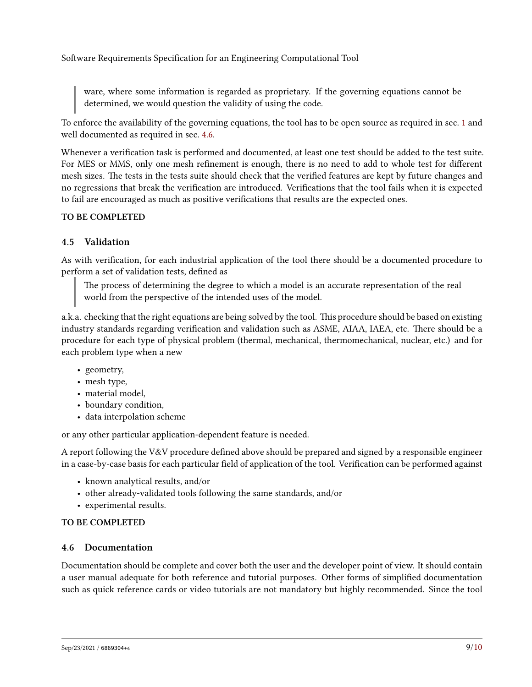ware, where some information is regarded as proprietary. If the governing equations cannot be determined, we would question the validity of using the code.

To enforce the availability of the governing equations, the tool has to be open source as required in sec. [1](#page-2-0) and well documented as required in sec. [4.6.](#page-8-1)

Whenever a verification task is performed and documented, at least one test should be added to the test suite. For MES or MMS, only one mesh refinement is enough, there is no need to add to whole test for different mesh sizes. The tests in the tests suite should check that the verified features are kept by future changes and no regressions that break the verification are introduced. Verifications that the tool fails when it is expected to fail are encouraged as much as positive verifications that results are the expected ones.

### **TO BE COMPLETED**

### <span id="page-8-0"></span>**4.5 Validation**

As with verification, for each industrial application of the tool there should be a documented procedure to perform a set of validation tests, defined as

The process of determining the degree to which a model is an accurate representation of the real world from the perspective of the intended uses of the model.

a.k.a. checking that the right equations are being solved by the tool. This procedure should be based on existing industry standards regarding verification and validation such as ASME, AIAA, IAEA, etc. There should be a procedure for each type of physical problem (thermal, mechanical, thermomechanical, nuclear, etc.) and for each problem type when a new

- geometry,
- mesh type,
- material model,
- boundary condition,
- data interpolation scheme

or any other particular application-dependent feature is needed.

A report following the V&V procedure defined above should be prepared and signed by a responsible engineer in a case-by-case basis for each particular field of application of the tool. Verification can be performed against

- known analytical results, and/or
- other already-validated tools following the same standards, and/or
- experimental results.

### **TO BE COMPLETED**

### <span id="page-8-1"></span>**4.6 Documentation**

Documentation should be complete and cover both the user and the developer point of view. It should contain a user manual adequate for both reference and tutorial purposes. Other forms of simplified documentation such as quick reference cards or video tutorials are not mandatory but highly recommended. Since the tool